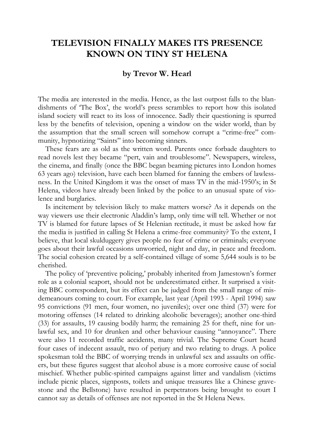## **TELEVISION FINALLY MAKES ITS PRESENCE KNOWN ON TINY ST HELENA**

## **by Trevor W. Hearl**

The media are interested in the media. Hence, as the last outpost falls to the blandishments of 'The Box', the world's press scrambles to report how this isolated island society will react to its loss of innocence. Sadly their questioning is spurred less by the benefits of television, opening a window on the wider world, than by the assumption that the small screen will somehow corrupt a "crime-free" community, hypnotizing "Saints" into becoming sinners.

These fears are as old as the written word. Parents once forbade daughters to read novels lest they became "pert, vain and troublesome". Newspapers, wireless, the cinema, and finally (once the BBC began beaming pictures into London homes 63 years ago) television, have each been blamed for fanning the embers of lawlessness. In the United Kingdom it was the onset of mass TV in the mid-1950's; in St Helena, videos have already been linked by the police to an unusual spate of violence and burglaries.

Is incitement by television likely to make matters worse? As it depends on the way viewers use their electronic Aladdin's lamp, only time will tell. Whether or not TV is blamed for future lapses of St Helenian rectitude, it must be asked how far the media is justified in calling St Helena a crime-free community? To the extent, I believe, that local skulduggery gives people no fear of crime or criminals; everyone goes about their lawful occasions unworried, night and day, in peace and freedom. The social cohesion created by a self-contained village of some 5,644 souls is to be cherished.

The policy of 'preventive policing,' probably inherited from Jamestown's former role as a colonial seaport, should not be underestimated either. It surprised a visiting BBC correspondent, but its effect can be judged from the small range of misdemeanours coming to court. For example, last year (April 1993 - April 1994) saw 95 convictions (91 men, four women, no juveniles); over one third (37) were for motoring offenses (14 related to drinking alcoholic beverages); another one-third (33) for assaults, 19 causing bodily harm; the remaining 25 for theft, nine for unlawful sex, and 10 for drunken and other behaviour causing "annoyance". There were also 11 recorded traffic accidents, many trivial. The Supreme Court heard four cases of indecent assault, two of perjury and two relating to drugs. A police spokesman told the BBC of worrying trends in unlawful sex and assaults on officers, but these figures suggest that alcohol abuse is a more corrosive cause of social mischief. Whether public-spirited campaigns against litter and vandalism (victims include picnic places, signposts, toilets and unique treasures like a Chinese gravestone and the Bellstone) have resulted in perpetrators being brought to court I cannot say as details of offenses are not reported in the St Helena News.